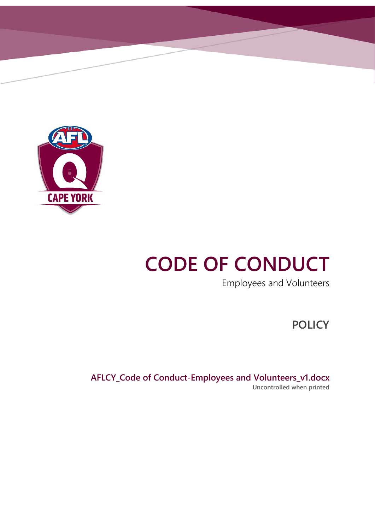

# **CODE OF CONDUCT**

Employees and Volunteers

**POLICY**

**AFLCY\_Code of Conduct-Employees and Volunteers\_v1.docx Uncontrolled when printed**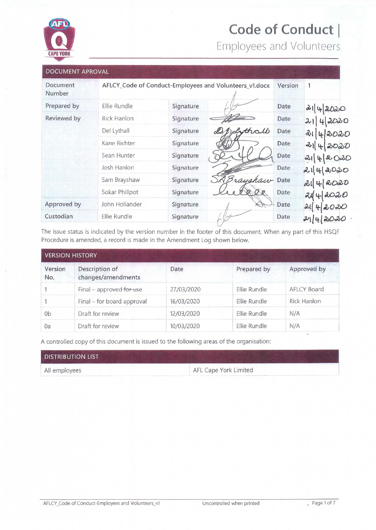

# Code of Conduct |

Employees and Volunteers

| <b>DOCUMENT APROVAL</b> |                |           |                                                        |         |             |
|-------------------------|----------------|-----------|--------------------------------------------------------|---------|-------------|
| Document<br>Number      |                |           | AFLCY_Code of Conduct-Employees and Volunteers_v1.docx | Version | 1           |
| Prepared by             | Ellie Rundle   | Signature |                                                        | Date    | 2142020     |
| Reviewed by             | Rick Hanlon    | Signature |                                                        | Date    | 42020<br>21 |
|                         | Del Lythall    | Signature | Sythall                                                | Date    | 2l<br>42020 |
|                         | Kane Richter   | Signature |                                                        | Date    | 21 4 2020   |
|                         | Sean Hunter    | Signature |                                                        | Date    | 2142020     |
|                         | Josh Hanlon    | Signature |                                                        | Date    | 2142000     |
|                         | Sam Brayshaw   | Signature | rayshaw                                                | Date    | 214 2020    |
|                         | Sokar Phillpot | Signature |                                                        | Date    | 2020<br>244 |
| Approved by             | John Hollander | Signature |                                                        | Date    | 21<br>2020  |
| Custodian               | Ellie Rundle   | Signature |                                                        | Date    | 2000        |

The issue status is indicated by the version number in the footer of this document. When any part of this HSQF Procedure is amended, a record is made in the Amendment Log shown below.

| <b>VERSION HISTORY</b> |                                      |            |              |                    |
|------------------------|--------------------------------------|------------|--------------|--------------------|
| Version<br>No.         | Description of<br>changes/amendments | Date       | Prepared by  | Approved by        |
|                        | Final - approved for use             | 27/03/2020 | Ellie Rundle | <b>AFLCY Board</b> |
|                        | Final - for board approval           | 16/03/2020 | Ellie Rundle | <b>Rick Hanlon</b> |
| 0 <sub>b</sub>         | Draft for review                     | 12/03/2020 | Ellie Rundle | N/A                |
| 0a                     | Draft for review                     | 10/03/2020 | Ellie Rundle | N/A                |

A controlled copy of this document is issued to the following areas of the organisation:

| <b>DISTRIBUTION LIST</b> |                       |
|--------------------------|-----------------------|
| All employees            | AFL Cape York Limited |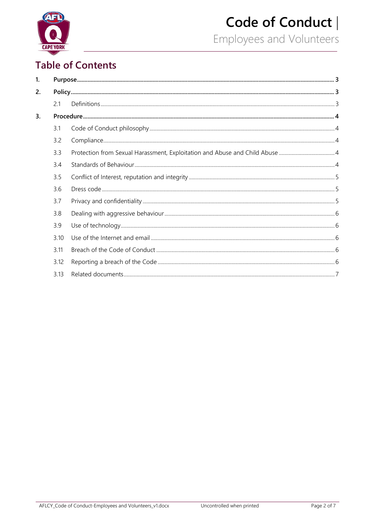

# Code of Conduct |

Employees and Volunteers

# **Table of Contents**

| 1. |      |  |  |  |
|----|------|--|--|--|
| 2. |      |  |  |  |
|    | 2.1  |  |  |  |
| 3. |      |  |  |  |
|    | 3.1  |  |  |  |
|    | 3.2  |  |  |  |
|    | 3.3  |  |  |  |
|    | 3.4  |  |  |  |
|    | 3.5  |  |  |  |
|    | 3.6  |  |  |  |
|    | 3.7  |  |  |  |
|    | 3.8  |  |  |  |
|    | 3.9  |  |  |  |
|    | 3.10 |  |  |  |
|    | 3.11 |  |  |  |
|    | 3.12 |  |  |  |
|    | 3.13 |  |  |  |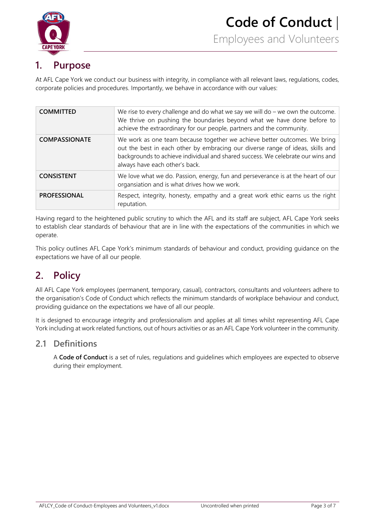

# <span id="page-3-0"></span>**1. Purpose**

At AFL Cape York we conduct our business with integrity, in compliance with all relevant laws, regulations, codes, corporate policies and procedures. Importantly, we behave in accordance with our values:

| <b>COMMITTED</b>     | We rise to every challenge and do what we say we will do $-$ we own the outcome.<br>We thrive on pushing the boundaries beyond what we have done before to<br>achieve the extraordinary for our people, partners and the community.                                              |
|----------------------|----------------------------------------------------------------------------------------------------------------------------------------------------------------------------------------------------------------------------------------------------------------------------------|
| <b>COMPASSIONATE</b> | We work as one team because together we achieve better outcomes. We bring<br>out the best in each other by embracing our diverse range of ideas, skills and<br>backgrounds to achieve individual and shared success. We celebrate our wins and<br>always have each other's back. |
| <b>CONSISTENT</b>    | We love what we do. Passion, energy, fun and perseverance is at the heart of our<br>organsiation and is what drives how we work.                                                                                                                                                 |
| <b>PROFESSIONAL</b>  | Respect, integrity, honesty, empathy and a great work ethic earns us the right<br>reputation.                                                                                                                                                                                    |

Having regard to the heightened public scrutiny to which the AFL and its staff are subject, AFL Cape York seeks to establish clear standards of behaviour that are in line with the expectations of the communities in which we operate.

This policy outlines AFL Cape York's minimum standards of behaviour and conduct, providing guidance on the expectations we have of all our people.

# <span id="page-3-1"></span>**2. Policy**

All AFL Cape York employees (permanent, temporary, casual), contractors, consultants and volunteers adhere to the organisation's Code of Conduct which reflects the minimum standards of workplace behaviour and conduct, providing guidance on the expectations we have of all our people.

It is designed to encourage integrity and professionalism and applies at all times whilst representing AFL Cape York including at work related functions, out of hours activities or as an AFL Cape York volunteer in the community.

### <span id="page-3-2"></span>**2.1 Definitions**

A **Code of Conduct** is a set of rules, regulations and guidelines which employees are expected to observe during their employment.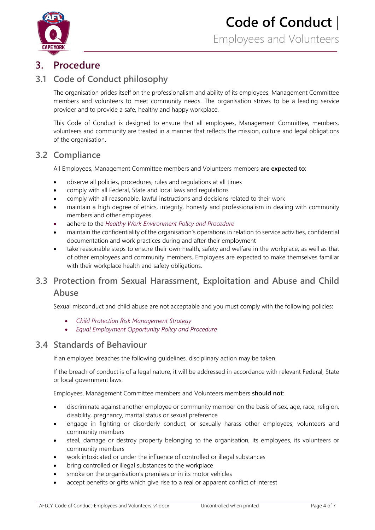

# <span id="page-4-0"></span>**3. Procedure**

# <span id="page-4-1"></span>**3.1 Code of Conduct philosophy**

The organisation prides itself on the professionalism and ability of its employees, Management Committee members and volunteers to meet community needs. The organisation strives to be a leading service provider and to provide a safe, healthy and happy workplace.

This Code of Conduct is designed to ensure that all employees, Management Committee, members, volunteers and community are treated in a manner that reflects the mission, culture and legal obligations of the organisation.

#### <span id="page-4-2"></span>**3.2 Compliance**

All Employees, Management Committee members and Volunteers members **are expected to**:

- observe all policies, procedures, rules and regulations at all times
- comply with all Federal, State and local laws and regulations
- comply with all reasonable, lawful instructions and decisions related to their work
- maintain a high degree of ethics, integrity, honesty and professionalism in dealing with community members and other employees
- adhere to the *Healthy Work Environment Policy and Procedure*
- maintain the confidentiality of the organisation's operations in relation to service activities, confidential documentation and work practices during and after their employment
- take reasonable steps to ensure their own health, safety and welfare in the workplace, as well as that of other employees and community members. Employees are expected to make themselves familiar with their workplace health and safety obligations.

# <span id="page-4-3"></span>**3.3 Protection from Sexual Harassment, Exploitation and Abuse and Child Abuse**

Sexual misconduct and child abuse are not acceptable and you must comply with the following policies:

- *Child Protection Risk Management Strategy*
- *Equal Employment Opportunity Policy and Procedure*

#### <span id="page-4-4"></span>**3.4 Standards of Behaviour**

If an employee breaches the following guidelines, disciplinary action may be taken.

If the breach of conduct is of a legal nature, it will be addressed in accordance with relevant Federal, State or local government laws.

Employees, Management Committee members and Volunteers members **should not**:

- discriminate against another employee or community member on the basis of sex, age, race, religion, disability, pregnancy, marital status or sexual preference
- engage in fighting or disorderly conduct, or sexually harass other employees, volunteers and community members
- steal, damage or destroy property belonging to the organisation, its employees, its volunteers or community members
- work intoxicated or under the influence of controlled or illegal substances
- bring controlled or illegal substances to the workplace
- smoke on the organisation's premises or in its motor vehicles
- accept benefits or gifts which give rise to a real or apparent conflict of interest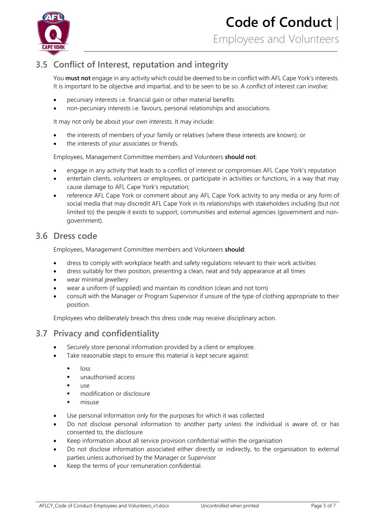

# <span id="page-5-0"></span>**3.5 Conflict of Interest, reputation and integrity**

You **must not** engage in any activity which could be deemed to be in conflict with AFL Cape York's interests. It is important to be objective and impartial, and to be seen to be so. A conflict of interest can involve:

- pecuniary interests i.e. financial gain or other material benefits
- non-pecuniary interests i.e. favours, personal relationships and associations.

It may not only be about your own interests. It may include:

- the interests of members of your family or relatives (where these interests are known); or
- the interests of your associates or friends.

Employees, Management Committee members and Volunteers **should not**:

- engage in any activity that leads to a conflict of interest or compromises AFL Cape York's reputation
- entertain clients, volunteers or employees, or participate in activities or functions, in a way that may cause damage to AFL Cape York's reputation;
- reference AFL Cape York or comment about any AFL Cape York activity to any media or any form of social media that may discredit AFL Cape York in its relationships with stakeholders including (but not limited to) the people it exists to support, communities and external agencies (government and nongovernment).

#### <span id="page-5-1"></span>**3.6 Dress code**

Employees, Management Committee members and Volunteers **should**:

- dress to comply with workplace health and safety regulations relevant to their work activities
- dress suitably for their position, presenting a clean, neat and tidy appearance at all times
- wear minimal jewellery
- wear a uniform (if supplied) and maintain its condition (clean and not torn)
- consult with the Manager or Program Supervisor if unsure of the type of clothing appropriate to their position.

Employees who deliberately breach this dress code may receive disciplinary action.

### <span id="page-5-2"></span>**3.7 Privacy and confidentiality**

- Securely store personal information provided by a client or employee.
- Take reasonable steps to ensure this material is kept secure against:
	- $\overline{\phantom{a}}$   $\overline{\phantom{a}}$   $\overline{\phantom{a}}$   $\overline{\phantom{a}}$   $\overline{\phantom{a}}$   $\overline{\phantom{a}}$   $\overline{\phantom{a}}$   $\overline{\phantom{a}}$   $\overline{\phantom{a}}$   $\overline{\phantom{a}}$   $\overline{\phantom{a}}$   $\overline{\phantom{a}}$   $\overline{\phantom{a}}$   $\overline{\phantom{a}}$   $\overline{\phantom{a}}$   $\overline{\phantom{a}}$   $\overline{\phantom{a}}$   $\overline{\phantom{a}}$   $\overline{\$
	- **unauthorised access**
	- $\blacksquare$
	- **Fall modification or disclosure**
	- misuse
- Use personal information only for the purposes for which it was collected
- Do not disclose personal information to another party unless the individual is aware of, or has consented to, the disclosure
- Keep information about all service provision confidential within the organisation
- Do not disclose information associated either directly or indirectly, to the organisation to external parties unless authorised by the Manager or Supervisor
- Keep the terms of your remuneration confidential.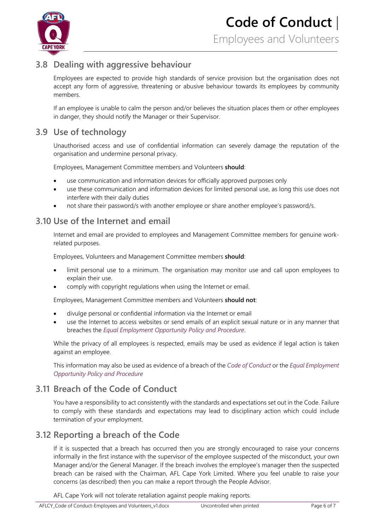

# <span id="page-6-0"></span>**3.8 Dealing with aggressive behaviour**

Employees are expected to provide high standards of service provision but the organisation does not accept any form of aggressive, threatening or abusive behaviour towards its employees by community members.

If an employee is unable to calm the person and/or believes the situation places them or other employees in danger, they should notify the Manager or their Supervisor.

### <span id="page-6-1"></span>**3.9 Use of technology**

Unauthorised access and use of confidential information can severely damage the reputation of the organisation and undermine personal privacy.

Employees, Management Committee members and Volunteers **should**:

- use communication and information devices for officially approved purposes only
- use these communication and information devices for limited personal use, as long this use does not interfere with their daily duties
- not share their password/s with another employee or share another employee's password/s.

### <span id="page-6-2"></span>**3.10 Use of the Internet and email**

Internet and email are provided to employees and Management Committee members for genuine workrelated purposes.

Employees, Volunteers and Management Committee members **should**:

- limit personal use to a minimum. The organisation may monitor use and call upon employees to explain their use.
- comply with copyright regulations when using the Internet or email.

Employees, Management Committee members and Volunteers **should not**:

- divulge personal or confidential information via the Internet or email
- use the Internet to access websites or send emails of an explicit sexual nature or in any manner that breaches the *Equal Employment Opportunity Policy and Procedure*.

While the privacy of all employees is respected, emails may be used as evidence if legal action is taken against an employee.

This information may also be used as evidence of a breach of the *Code of Conduct* or the *Equal Employment Opportunity Policy and Procedure*

# <span id="page-6-3"></span>**3.11 Breach of the Code of Conduct**

You have a responsibility to act consistently with the standards and expectations set out in the Code. Failure to comply with these standards and expectations may lead to disciplinary action which could include termination of your employment.

# <span id="page-6-4"></span>**3.12 Reporting a breach of the Code**

If it is suspected that a breach has occurred then you are strongly encouraged to raise your concerns informally in the first instance with the supervisor of the employee suspected of the misconduct, your own Manager and/or the General Manager. If the breach involves the employee's manager then the suspected breach can be raised with the Chairman, AFL Cape York Limited. Where you feel unable to raise your concerns (as described) then you can make a report through the People Advisor.

AFL Cape York will not tolerate retaliation against people making reports.